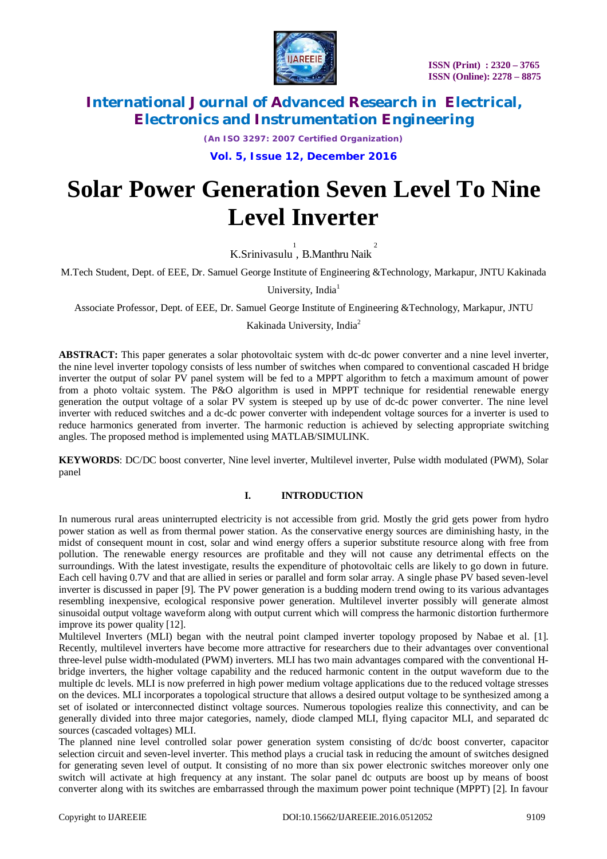

*(An ISO 3297: 2007 Certified Organization)*

**Vol. 5, Issue 12, December 2016**

# **Solar Power Generation Seven Level To Nine Level Inverter**

K.Srinivasulu<sup>1</sup>, B.Manthru Naik<sup>2</sup>

M.Tech Student, Dept. of EEE, Dr. Samuel George Institute of Engineering &Technology, Markapur, JNTU Kakinada

University, India<sup>1</sup>

Associate Professor, Dept. of EEE, Dr. Samuel George Institute of Engineering &Technology, Markapur, JNTU

Kakinada University, India<sup>2</sup>

**ABSTRACT:** This paper generates a solar photovoltaic system with dc-dc power converter and a nine level inverter, the nine level inverter topology consists of less number of switches when compared to conventional cascaded H bridge inverter the output of solar PV panel system will be fed to a MPPT algorithm to fetch a maximum amount of power from a photo voltaic system. The P&O algorithm is used in MPPT technique for residential renewable energy generation the output voltage of a solar PV system is steeped up by use of dc-dc power converter. The nine level inverter with reduced switches and a dc-dc power converter with independent voltage sources for a inverter is used to reduce harmonics generated from inverter. The harmonic reduction is achieved by selecting appropriate switching angles. The proposed method is implemented using MATLAB/SIMULINK.

**KEYWORDS**: DC/DC boost converter, Nine level inverter, Multilevel inverter, Pulse width modulated (PWM), Solar panel

#### **I. INTRODUCTION**

In numerous rural areas uninterrupted electricity is not accessible from grid. Mostly the grid gets power from hydro power station as well as from thermal power station. As the conservative energy sources are diminishing hasty, in the midst of consequent mount in cost, solar and wind energy offers a superior substitute resource along with free from pollution. The renewable energy resources are profitable and they will not cause any detrimental effects on the surroundings. With the latest investigate, results the expenditure of photovoltaic cells are likely to go down in future. Each cell having 0.7V and that are allied in series or parallel and form solar array. A single phase PV based seven-level inverter is discussed in paper [9]. The PV power generation is a budding modern trend owing to its various advantages resembling inexpensive, ecological responsive power generation. Multilevel inverter possibly will generate almost sinusoidal output voltage waveform along with output current which will compress the harmonic distortion furthermore improve its power quality [12].

Multilevel Inverters (MLI) began with the neutral point clamped inverter topology proposed by Nabae et al. [1]. Recently, multilevel inverters have become more attractive for researchers due to their advantages over conventional three-level pulse width-modulated (PWM) inverters. MLI has two main advantages compared with the conventional Hbridge inverters, the higher voltage capability and the reduced harmonic content in the output waveform due to the multiple dc levels. MLI is now preferred in high power medium voltage applications due to the reduced voltage stresses on the devices. MLI incorporates a topological structure that allows a desired output voltage to be synthesized among a set of isolated or interconnected distinct voltage sources. Numerous topologies realize this connectivity, and can be generally divided into three major categories, namely, diode clamped MLI, flying capacitor MLI, and separated dc sources (cascaded voltages) MLI.

The planned nine level controlled solar power generation system consisting of dc/dc boost converter, capacitor selection circuit and seven-level inverter. This method plays a crucial task in reducing the amount of switches designed for generating seven level of output. It consisting of no more than six power electronic switches moreover only one switch will activate at high frequency at any instant. The solar panel dc outputs are boost up by means of boost converter along with its switches are embarrassed through the maximum power point technique (MPPT) [2]. In favour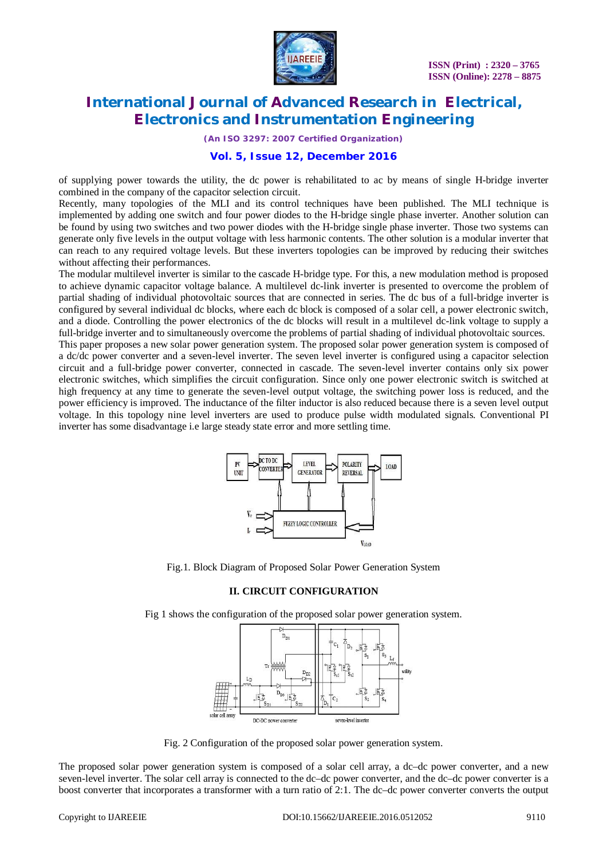

*(An ISO 3297: 2007 Certified Organization)*

#### **Vol. 5, Issue 12, December 2016**

of supplying power towards the utility, the dc power is rehabilitated to ac by means of single H-bridge inverter combined in the company of the capacitor selection circuit.

Recently, many topologies of the MLI and its control techniques have been published. The MLI technique is implemented by adding one switch and four power diodes to the H-bridge single phase inverter. Another solution can be found by using two switches and two power diodes with the H-bridge single phase inverter. Those two systems can generate only five levels in the output voltage with less harmonic contents. The other solution is a modular inverter that can reach to any required voltage levels. But these inverters topologies can be improved by reducing their switches without affecting their performances.

The modular multilevel inverter is similar to the cascade H-bridge type. For this, a new modulation method is proposed to achieve dynamic capacitor voltage balance. A multilevel dc-link inverter is presented to overcome the problem of partial shading of individual photovoltaic sources that are connected in series. The dc bus of a full-bridge inverter is configured by several individual dc blocks, where each dc block is composed of a solar cell, a power electronic switch, and a diode. Controlling the power electronics of the dc blocks will result in a multilevel dc-link voltage to supply a full-bridge inverter and to simultaneously overcome the problems of partial shading of individual photovoltaic sources.

This paper proposes a new solar power generation system. The proposed solar power generation system is composed of a dc/dc power converter and a seven-level inverter. The seven level inverter is configured using a capacitor selection circuit and a full-bridge power converter, connected in cascade. The seven-level inverter contains only six power electronic switches, which simplifies the circuit configuration. Since only one power electronic switch is switched at high frequency at any time to generate the seven-level output voltage, the switching power loss is reduced, and the power efficiency is improved. The inductance of the filter inductor is also reduced because there is a seven level output voltage. In this topology nine level inverters are used to produce pulse width modulated signals. Conventional PI inverter has some disadvantage i.e large steady state error and more settling time.



Fig.1. Block Diagram of Proposed Solar Power Generation System

#### **II. CIRCUIT CONFIGURATION**

Fig 1 shows the configuration of the proposed solar power generation system.



Fig. 2 Configuration of the proposed solar power generation system.

The proposed solar power generation system is composed of a solar cell array, a dc–dc power converter, and a new seven-level inverter. The solar cell array is connected to the dc–dc power converter, and the dc–dc power converter is a boost converter that incorporates a transformer with a turn ratio of 2:1. The dc–dc power converter converts the output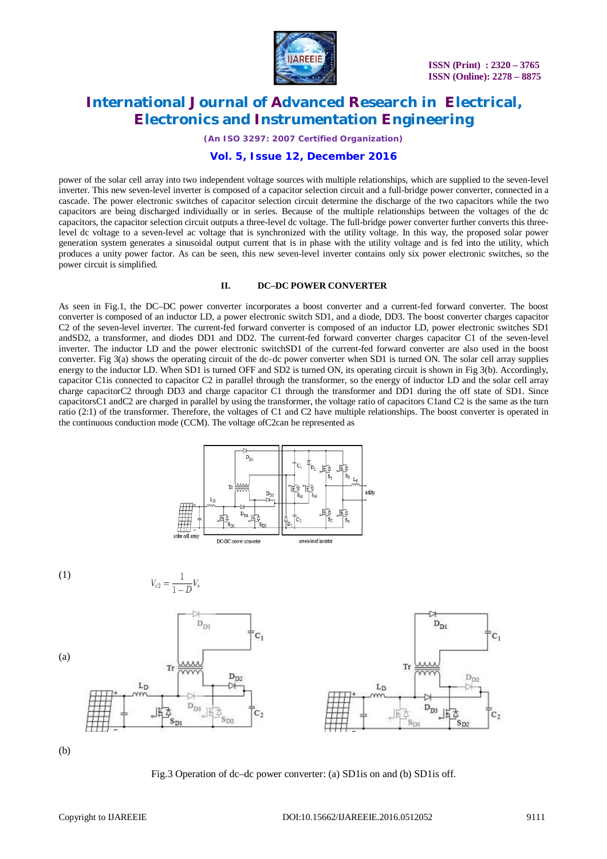

*(An ISO 3297: 2007 Certified Organization)*

#### **Vol. 5, Issue 12, December 2016**

power of the solar cell array into two independent voltage sources with multiple relationships, which are supplied to the seven-level inverter. This new seven-level inverter is composed of a capacitor selection circuit and a full-bridge power converter, connected in a cascade. The power electronic switches of capacitor selection circuit determine the discharge of the two capacitors while the two capacitors are being discharged individually or in series. Because of the multiple relationships between the voltages of the dc capacitors, the capacitor selection circuit outputs a three-level dc voltage. The full-bridge power converter further converts this threelevel dc voltage to a seven-level ac voltage that is synchronized with the utility voltage. In this way, the proposed solar power generation system generates a sinusoidal output current that is in phase with the utility voltage and is fed into the utility, which produces a unity power factor. As can be seen, this new seven-level inverter contains only six power electronic switches, so the power circuit is simplified.

#### **II. DC–DC POWER CONVERTER**

As seen in Fig.1, the DC–DC power converter incorporates a boost converter and a current-fed forward converter. The boost converter is composed of an inductor LD, a power electronic switch SD1, and a diode, DD3. The boost converter charges capacitor C2 of the seven-level inverter. The current-fed forward converter is composed of an inductor LD, power electronic switches SD1 andSD2, a transformer, and diodes DD1 and DD2. The current-fed forward converter charges capacitor C1 of the seven-level inverter. The inductor LD and the power electronic switchSD1 of the current-fed forward converter are also used in the boost converter. Fig 3(a) shows the operating circuit of the dc–dc power converter when SD1 is turned ON. The solar cell array supplies energy to the inductor LD. When SD1 is turned OFF and SD2 is turned ON, its operating circuit is shown in Fig 3(b). Accordingly, capacitor C1is connected to capacitor C2 in parallel through the transformer, so the energy of inductor LD and the solar cell array charge capacitorC2 through DD3 and charge capacitor C1 through the transformer and DD1 during the off state of SD1. Since capacitorsC1 andC2 are charged in parallel by using the transformer, the voltage ratio of capacitors C1and C2 is the same as the turn ratio (2:1) of the transformer. Therefore, the voltages of C1 and C2 have multiple relationships. The boost converter is operated in the continuous conduction mode (CCM). The voltage ofC2can be represented as





 $V_{c2} = \frac{1}{1 - D} V_s$ 



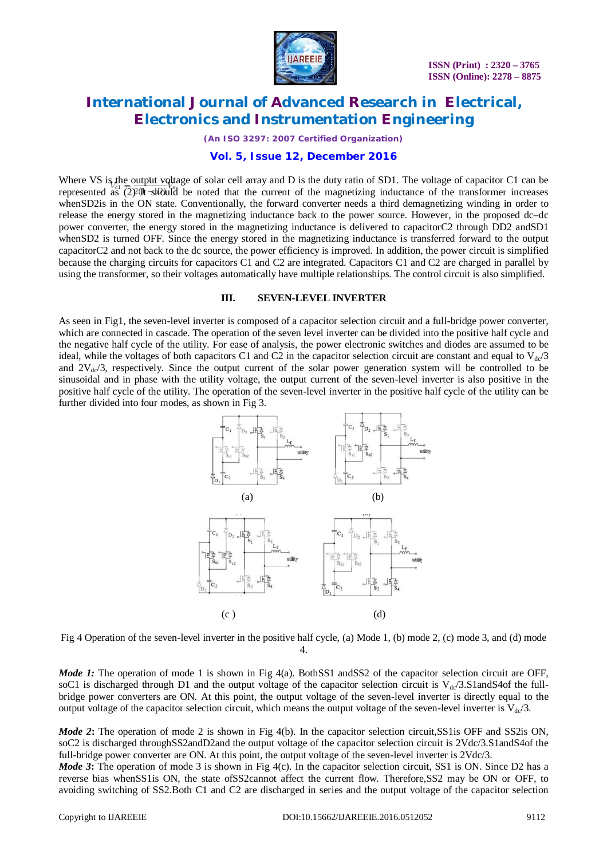

*(An ISO 3297: 2007 Certified Organization)*

#### **Vol. 5, Issue 12, December 2016**

Where VS is the output voltage of solar cell array and D is the duty ratio of SD1. The voltage of capacitor C1 can be represented as  $(2)$  It should be noted that the current of the magnetizing inductance of the transformer increases whenSD2 is in the ON state. Conventionally, the forward converter needs a third demagnetizing winding in order to release the energy stored in the magnetizing inductance back to the power source. However, in the proposed dc–dc power converter, the energy stored in the magnetizing inductance is delivered to capacitorC2 through DD2 andSD1 whenSD2 is turned OFF. Since the energy stored in the magnetizing inductance is transferred forward to the output capacitorC2 and not back to the dc source, the power efficiency is improved. In addition, the power circuit is simplified because the charging circuits for capacitors C1 and C2 are integrated. Capacitors C1 and C2 are charged in parallel by using the transformer, so their voltages automatically have multiple relationships. The control circuit is also simplified.

#### **III. SEVEN-LEVEL INVERTER**

As seen in Fig1, the seven-level inverter is composed of a capacitor selection circuit and a full-bridge power converter, which are connected in cascade. The operation of the seven level inverter can be divided into the positive half cycle and the negative half cycle of the utility. For ease of analysis, the power electronic switches and diodes are assumed to be ideal, while the voltages of both capacitors C1 and C2 in the capacitor selection circuit are constant and equal to  $V_{dc}/3$ and  $2V_{dc}/3$ , respectively. Since the output current of the solar power generation system will be controlled to be sinusoidal and in phase with the utility voltage, the output current of the seven-level inverter is also positive in the positive half cycle of the utility. The operation of the seven-level inverter in the positive half cycle of the utility can be further divided into four modes, as shown in Fig 3.



Fig 4 Operation of the seven-level inverter in the positive half cycle, (a) Mode 1, (b) mode 2, (c) mode 3, and (d) mode 4.

*Mode 1:* The operation of mode 1 is shown in Fig 4(a). BothSS1 andSS2 of the capacitor selection circuit are OFF, soC1 is discharged through D1 and the output voltage of the capacitor selection circuit is  $V_{d}$  3.S1andS4of the fullbridge power converters are ON. At this point, the output voltage of the seven-level inverter is directly equal to the output voltage of the capacitor selection circuit, which means the output voltage of the seven-level inverter is  $V_{dc}/3$ .

*Mode 2*: The operation of mode 2 is shown in Fig 4(b). In the capacitor selection circuit,SS1 is OFF and SS2 is ON, soC2 is discharged throughSS2andD2and the output voltage of the capacitor selection circuit is 2Vdc/3.S1andS4of the full-bridge power converter are ON. At this point, the output voltage of the seven-level inverter is  $2Vdc/3$ .

*Mode* 3: The operation of mode 3 is shown in Fig 4(c). In the capacitor selection circuit, SS1 is ON. Since D2 has a reverse bias whenSS1is ON, the state ofSS2cannot affect the current flow. Therefore,SS2 may be ON or OFF, to avoiding switching of SS2.Both C1 and C2 are discharged in series and the output voltage of the capacitor selection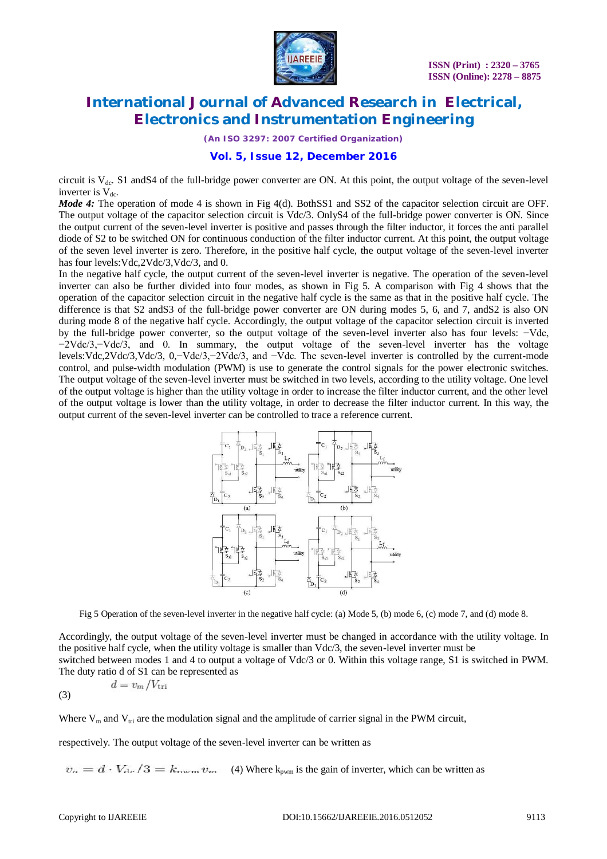

*(An ISO 3297: 2007 Certified Organization)*

#### **Vol. 5, Issue 12, December 2016**

circuit is  $V_{dc}$ . S1 and S4 of the full-bridge power converter are ON. At this point, the output voltage of the seven-level inverter is  $V_{dc}$ .

*Mode 4:* The operation of mode 4 is shown in Fig 4(d). BothSS1 and SS2 of the capacitor selection circuit are OFF. The output voltage of the capacitor selection circuit is Vdc/3. OnlyS4 of the full-bridge power converter is ON. Since the output current of the seven-level inverter is positive and passes through the filter inductor, it forces the anti parallel diode of S2 to be switched ON for continuous conduction of the filter inductor current. At this point, the output voltage of the seven level inverter is zero. Therefore, in the positive half cycle, the output voltage of the seven-level inverter has four levels: Vdc, 2Vdc/3, Vdc/3, and 0.

In the negative half cycle, the output current of the seven-level inverter is negative. The operation of the seven-level inverter can also be further divided into four modes, as shown in Fig 5. A comparison with Fig 4 shows that the operation of the capacitor selection circuit in the negative half cycle is the same as that in the positive half cycle. The difference is that S2 and S3 of the full-bridge power converter are ON during modes 5, 6, and 7, and S2 is also ON during mode 8 of the negative half cycle. Accordingly, the output voltage of the capacitor selection circuit is inverted by the full-bridge power converter, so the output voltage of the seven-level inverter also has four levels: −Vdc, −2Vdc/3,−Vdc/3, and 0. In summary, the output voltage of the seven-level inverter has the voltage levels:Vdc,2Vdc/3,Vdc/3, 0,−Vdc/3,−2Vdc/3, and −Vdc. The seven-level inverter is controlled by the current-mode control, and pulse-width modulation (PWM) is use to generate the control signals for the power electronic switches. The output voltage of the seven-level inverter must be switched in two levels, according to the utility voltage. One level of the output voltage is higher than the utility voltage in order to increase the filter inductor current, and the other level of the output voltage is lower than the utility voltage, in order to decrease the filter inductor current. In this way, the output current of the seven-level inverter can be controlled to trace a reference current.



Fig 5 Operation of the seven-level inverter in the negative half cycle: (a) Mode 5, (b) mode 6, (c) mode 7, and (d) mode 8.

Accordingly, the output voltage of the seven-level inverter must be changed in accordance with the utility voltage. In the positive half cycle, when the utility voltage is smaller than Vdc/3, the seven-level inverter must be switched between modes 1 and 4 to output a voltage of Vdc/3 or 0. Within this voltage range, S1 is switched in PWM. The duty ratio d of S1 can be represented as

$$
d = v_m / V_{\rm tri}
$$
\n(3)

Where  $V_m$  and  $V_{tri}$  are the modulation signal and the amplitude of carrier signal in the PWM circuit,

respectively. The output voltage of the seven-level inverter can be written as

 $v_o = d \cdot V_{\text{dc}}/3 = k_{\text{rwm}} v_m$  (4) Where k<sub>pwm</sub> is the gain of inverter, which can be written as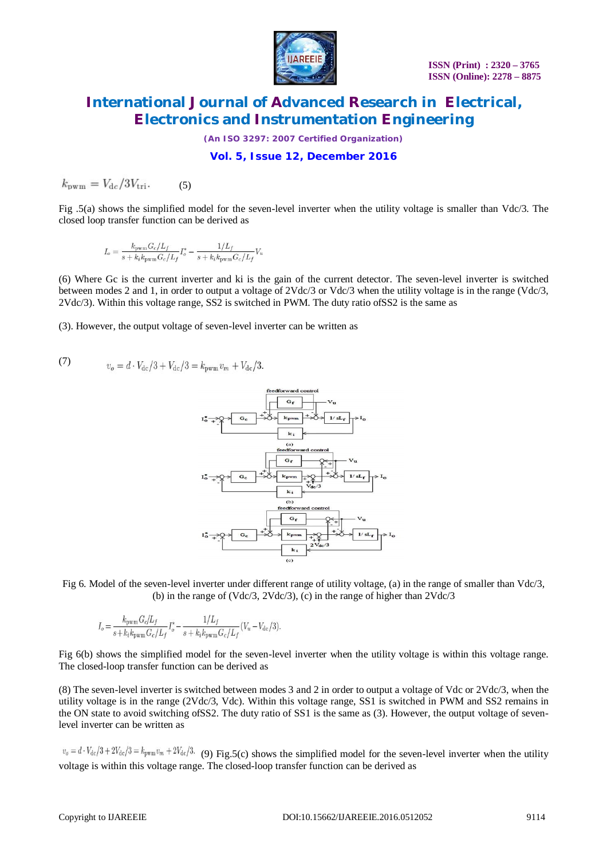

*(An ISO 3297: 2007 Certified Organization)*

#### **Vol. 5, Issue 12, December 2016**

$$
k_{\rm{pwm}} = V_{\rm{dc}} / 3V_{\rm{tri}}.\tag{5}
$$

Fig .5(a) shows the simplified model for the seven-level inverter when the utility voltage is smaller than Vdc/3. The closed loop transfer function can be derived as

$$
I_o = \frac{k_{\text{pwm}} G_c / L_f}{s + k_i k_{\text{pwm}} G_c / L_f} I_o^* - \frac{1 / L_f}{s + k_i k_{\text{pwm}} G_c / L_f} V_u
$$

(6) Where Gc is the current inverter and ki is the gain of the current detector. The seven-level inverter is switched between modes 2 and 1, in order to output a voltage of 2Vdc/3 or Vdc/3 when the utility voltage is in the range (Vdc/3, 2Vdc/3). Within this voltage range, SS2 is switched in PWM. The duty ratio ofSS2 is the same as

(3). However, the output voltage of seven-level inverter can be written as

(7) 
$$
v_o = d \cdot V_{dc}/3 + V_{dc}/3 = k_{\text{pwm}} v_m + V_{dc}/3.
$$



Fig 6. Model of the seven-level inverter under different range of utility voltage, (a) in the range of smaller than Vdc/3, (b) in the range of (Vdc/3, 2Vdc/3), (c) in the range of higher than 2Vdc/3

$$
I_o = \frac{k_{\text{pwm}} G_c / L_f}{s + k_i k_{\text{pwm}} G_c / L_f} I_o^* - \frac{1 / L_f}{s + k_i k_{\text{pwm}} G_c / L_f} (V_u - V_{\text{dc}}/3).
$$

Fig 6(b) shows the simplified model for the seven-level inverter when the utility voltage is within this voltage range. The closed-loop transfer function can be derived as

(8) The seven-level inverter is switched between modes 3 and 2 in order to output a voltage of Vdc or 2Vdc/3, when the utility voltage is in the range (2Vdc/3, Vdc). Within this voltage range, SS1 is switched in PWM and SS2 remains in the ON state to avoid switching ofSS2. The duty ratio of SS1 is the same as (3). However, the output voltage of sevenlevel inverter can be written as

 $v_o = d \cdot V_{dc}/3 + 2V_{dc}/3 = k_{pwm}v_m + 2V_{dc}/3$ . (9) Fig.5(c) shows the simplified model for the seven-level inverter when the utility voltage is within this voltage range. The closed-loop transfer function can be derived as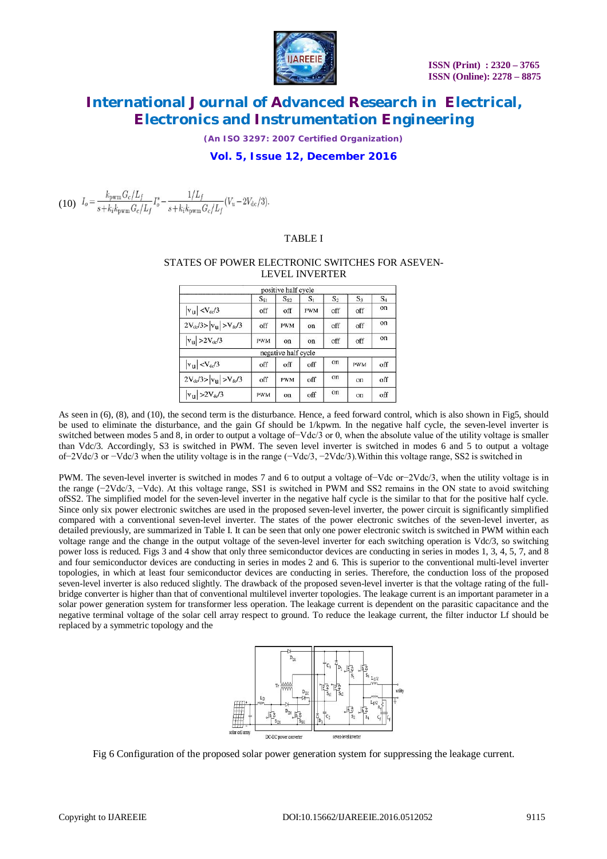

*(An ISO 3297: 2007 Certified Organization)*

#### **Vol. 5, Issue 12, December 2016**

(10)  $I_o = \frac{k_{\text{pwm}} G_c/L_f}{s + k_i k_{\text{pwm}} G_c/L_f} I_o^* - \frac{1/L_f}{s + k_i k_{\text{pwm}} G_c/L_f} (V_u - 2V_{\text{dc}}/3).$ 

#### TABLE I

#### STATES OF POWER ELECTRONIC SWITCHES FOR ASEVEN-LEVEL INVERTER

|                                  |            | positive half cycle |            |       |            |       |
|----------------------------------|------------|---------------------|------------|-------|------------|-------|
|                                  | $S_{S1}$   | $S_{S2}$            | $S_1$      | $S_2$ | $S_3$      | $S_4$ |
| $ v_{\rm u}  < V_{\rm dc}/3$     | off        | off                 | <b>PWM</b> | off   | off        | on    |
| $2V_{dc}/3 >  v_{u}  > V_{dc}/3$ | off        | <b>PWM</b>          | on         | off   | off        | on    |
| $ v_{\rm u}  > 2V_{\rm de}/3$    | <b>PWM</b> | on                  | on         | off   | off        | on    |
|                                  |            | negative half cycle |            |       |            |       |
| $ v_{\rm u}  < V_{\rm dc}/3$     | off        | off                 | off        | on    | <b>PWM</b> | off   |
| $2V_{dc}/3 >  v_{u}  > V_{dc}/3$ | off        | <b>PWM</b>          | off        | on    | on         | off   |
| $ v_{\rm u}  > 2V_{\rm de}/3$    | <b>PWM</b> | on                  | off        | on    | on         | off   |

As seen in (6), (8), and (10), the second term is the disturbance. Hence, a feed forward control, which is also shown in Fig5, should be used to eliminate the disturbance, and the gain Gf should be 1/kpwm. In the negative half cycle, the seven-level inverter is switched between modes 5 and 8, in order to output a voltage of–Vdc/3 or 0, when the absolute value of the utility voltage is smaller than Vdc/3. Accordingly, S3 is switched in PWM. The seven level inverter is switched in modes 6 and 5 to output a voltage of−2Vdc/3 or −Vdc/3 when the utility voltage is in the range (−Vdc/3, −2Vdc/3).Within this voltage range, SS2 is switched in

PWM. The seven-level inverter is switched in modes 7 and 6 to output a voltage of−Vdc or−2Vdc/3, when the utility voltage is in the range (−2Vdc/3, −Vdc). At this voltage range, SS1 is switched in PWM and SS2 remains in the ON state to avoid switching ofSS2. The simplified model for the seven-level inverter in the negative half cycle is the similar to that for the positive half cycle. Since only six power electronic switches are used in the proposed seven-level inverter, the power circuit is significantly simplified compared with a conventional seven-level inverter. The states of the power electronic switches of the seven-level inverter, as detailed previously, are summarized in Table I. It can be seen that only one power electronic switch is switched in PWM within each voltage range and the change in the output voltage of the seven-level inverter for each switching operation is Vdc/3, so switching power loss is reduced. Figs 3 and 4 show that only three semiconductor devices are conducting in series in modes 1, 3, 4, 5, 7, and 8 and four semiconductor devices are conducting in series in modes 2 and 6. This is superior to the conventional multi-level inverter topologies, in which at least four semiconductor devices are conducting in series. Therefore, the conduction loss of the proposed seven-level inverter is also reduced slightly. The drawback of the proposed seven-level inverter is that the voltage rating of the fullbridge converter is higher than that of conventional multilevel inverter topologies. The leakage current is an important parameter in a solar power generation system for transformer less operation. The leakage current is dependent on the parasitic capacitance and the negative terminal voltage of the solar cell array respect to ground. To reduce the leakage current, the filter inductor Lf should be replaced by a symmetric topology and the



Fig 6 Configuration of the proposed solar power generation system for suppressing the leakage current.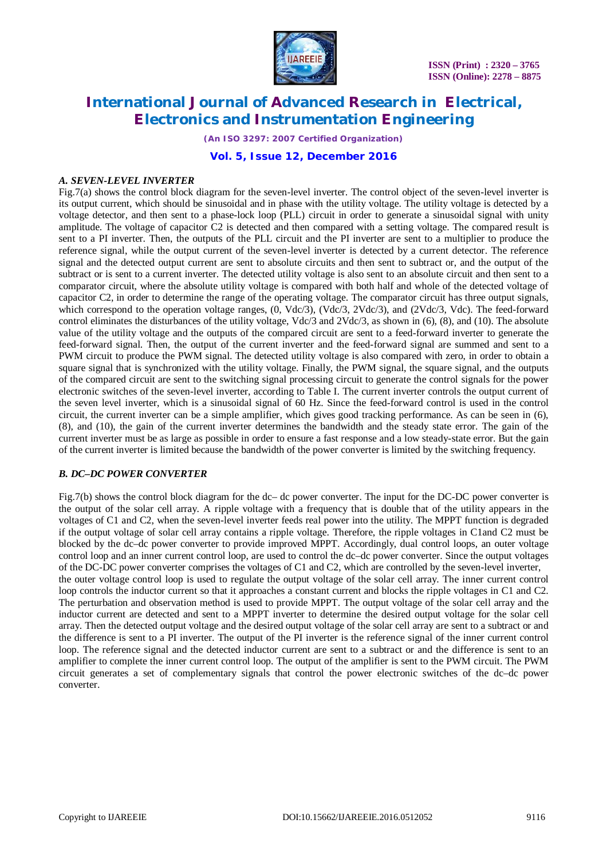

*(An ISO 3297: 2007 Certified Organization)*

**Vol. 5, Issue 12, December 2016**

#### *A. SEVEN-LEVEL INVERTER*

Fig.7(a) shows the control block diagram for the seven-level inverter. The control object of the seven-level inverter is its output current, which should be sinusoidal and in phase with the utility voltage. The utility voltage is detected by a voltage detector, and then sent to a phase-lock loop (PLL) circuit in order to generate a sinusoidal signal with unity amplitude. The voltage of capacitor C2 is detected and then compared with a setting voltage. The compared result is sent to a PI inverter. Then, the outputs of the PLL circuit and the PI inverter are sent to a multiplier to produce the reference signal, while the output current of the seven-level inverter is detected by a current detector. The reference signal and the detected output current are sent to absolute circuits and then sent to subtract or, and the output of the subtract or is sent to a current inverter. The detected utility voltage is also sent to an absolute circuit and then sent to a comparator circuit, where the absolute utility voltage is compared with both half and whole of the detected voltage of capacitor C2, in order to determine the range of the operating voltage. The comparator circuit has three output signals, which correspond to the operation voltage ranges,  $(0, \text{Vdc}/3)$ ,  $(\text{Vdc}/3, 2\text{Vdc}/3)$ , and  $(2\text{Vdc}/3, \text{Vdc})$ . The feed-forward control eliminates the disturbances of the utility voltage, Vdc/3 and 2Vdc/3, as shown in (6), (8), and (10). The absolute value of the utility voltage and the outputs of the compared circuit are sent to a feed-forward inverter to generate the feed-forward signal. Then, the output of the current inverter and the feed-forward signal are summed and sent to a PWM circuit to produce the PWM signal. The detected utility voltage is also compared with zero, in order to obtain a square signal that is synchronized with the utility voltage. Finally, the PWM signal, the square signal, and the outputs of the compared circuit are sent to the switching signal processing circuit to generate the control signals for the power electronic switches of the seven-level inverter, according to Table I. The current inverter controls the output current of the seven level inverter, which is a sinusoidal signal of 60 Hz. Since the feed-forward control is used in the control circuit, the current inverter can be a simple amplifier, which gives good tracking performance. As can be seen in (6), (8), and (10), the gain of the current inverter determines the bandwidth and the steady state error. The gain of the current inverter must be as large as possible in order to ensure a fast response and a low steady-state error. But the gain of the current inverter is limited because the bandwidth of the power converter is limited by the switching frequency.

### *B. DC–DC POWER CONVERTER*

Fig.7(b) shows the control block diagram for the dc– dc power converter. The input for the DC-DC power converter is the output of the solar cell array. A ripple voltage with a frequency that is double that of the utility appears in the voltages of C1 and C2, when the seven-level inverter feeds real power into the utility. The MPPT function is degraded if the output voltage of solar cell array contains a ripple voltage. Therefore, the ripple voltages in C1and C2 must be blocked by the dc–dc power converter to provide improved MPPT. Accordingly, dual control loops, an outer voltage control loop and an inner current control loop, are used to control the dc–dc power converter. Since the output voltages of the DC-DC power converter comprises the voltages of C1 and C2, which are controlled by the seven-level inverter, the outer voltage control loop is used to regulate the output voltage of the solar cell array. The inner current control loop controls the inductor current so that it approaches a constant current and blocks the ripple voltages in C1 and C2. The perturbation and observation method is used to provide MPPT. The output voltage of the solar cell array and the inductor current are detected and sent to a MPPT inverter to determine the desired output voltage for the solar cell array. Then the detected output voltage and the desired output voltage of the solar cell array are sent to a subtract or and the difference is sent to a PI inverter. The output of the PI inverter is the reference signal of the inner current control loop. The reference signal and the detected inductor current are sent to a subtract or and the difference is sent to an amplifier to complete the inner current control loop. The output of the amplifier is sent to the PWM circuit. The PWM circuit generates a set of complementary signals that control the power electronic switches of the dc–dc power converter.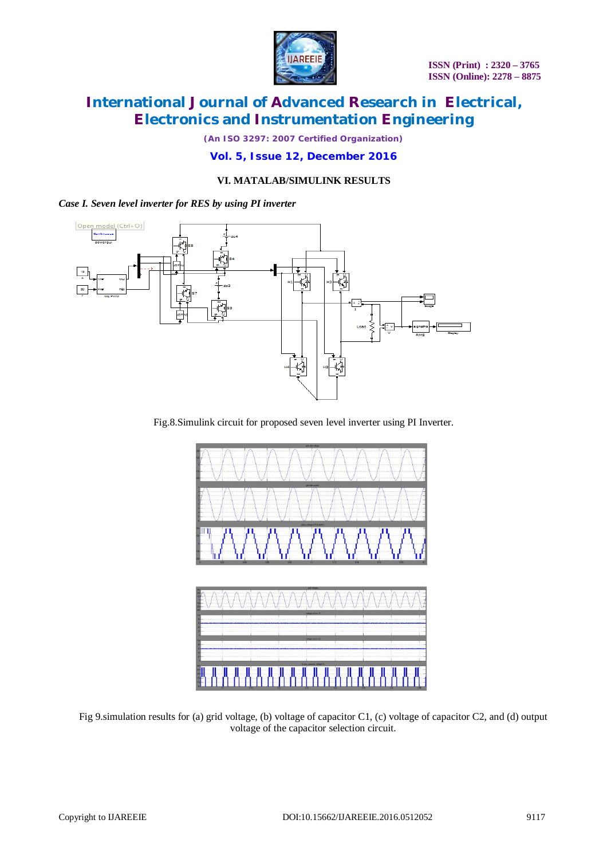

*(An ISO 3297: 2007 Certified Organization)*

**Vol. 5, Issue 12, December 2016**

#### **VI. MATALAB/SIMULINK RESULTS**

#### *Case I. Seven level inverter for RES by using PI inverter*



Fig.8.Simulink circuit for proposed seven level inverter using PI Inverter.



Fig 9.simulation results for (a) grid voltage, (b) voltage of capacitor C1, (c) voltage of capacitor C2, and (d) output voltage of the capacitor selection circuit.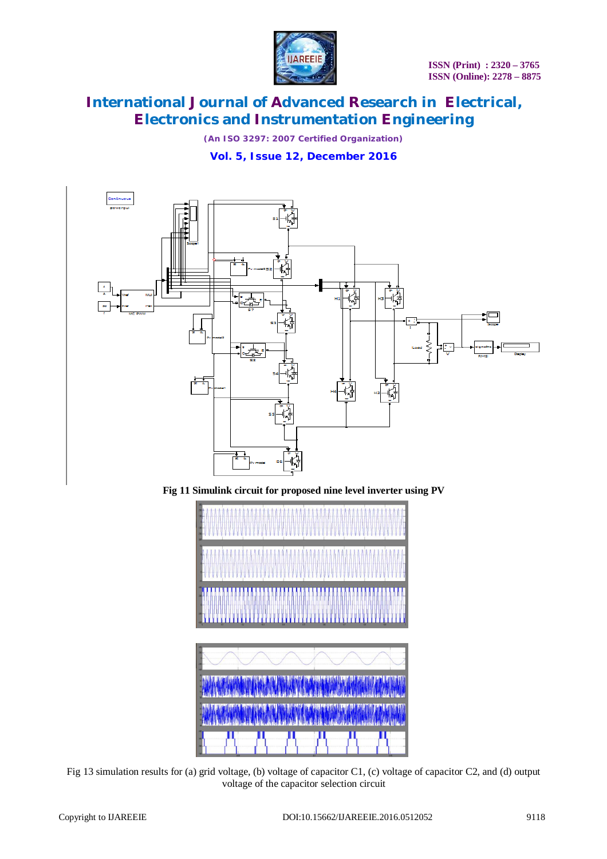

*(An ISO 3297: 2007 Certified Organization)*

**Vol. 5, Issue 12, December 2016**







Fig 13 simulation results for (a) grid voltage, (b) voltage of capacitor C1, (c) voltage of capacitor C2, and (d) output voltage of the capacitor selection circuit